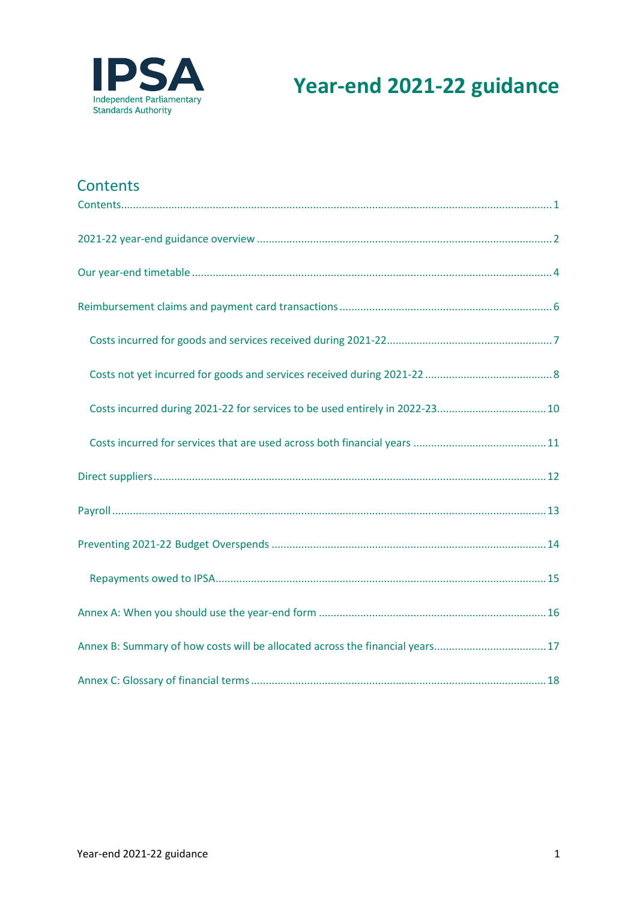

# **Year-end 2021-22 guidance**

### <span id="page-0-0"></span>**Contents**

| Annex B: Summary of how costs will be allocated across the financial years17 |
|------------------------------------------------------------------------------|
|                                                                              |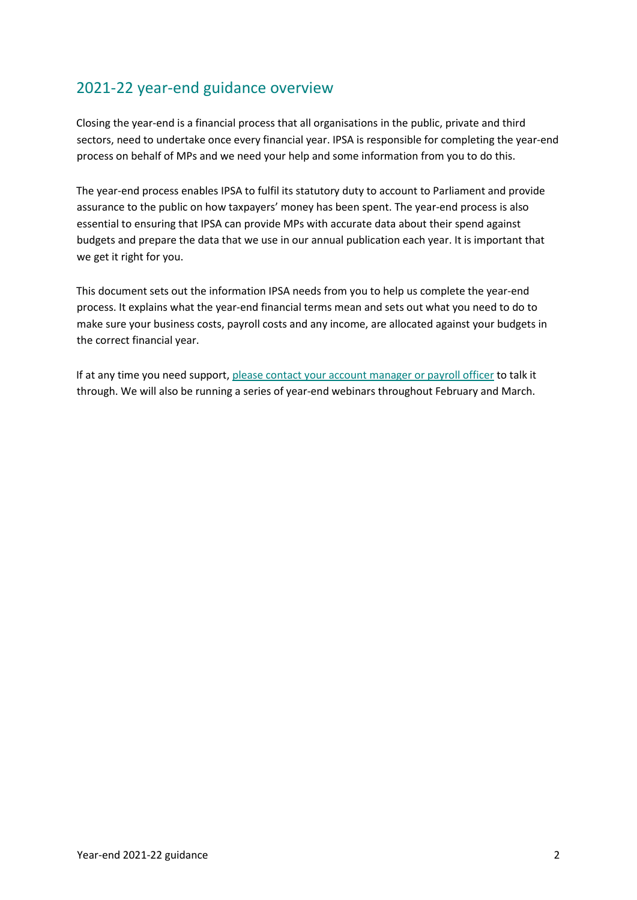## <span id="page-1-0"></span>2021-22 year-end guidance overview

Closing the year-end is a financial process that all organisations in the public, private and third sectors, need to undertake once every financial year. IPSA is responsible for completing the year-end process on behalf of MPs and we need your help and some information from you to do this.

The year-end process enables IPSA to fulfil its statutory duty to account to Parliament and provide assurance to the public on how taxpayers' money has been spent. The year-end process is also essential to ensuring that IPSA can provide MPs with accurate data about their spend against budgets and prepare the data that we use in our annual publication each year. It is important that we get it right for you.

This document sets out the information IPSA needs from you to help us complete the year-end process. It explains what the year-end financial terms mean and sets out what you need to do to make sure your business costs, payroll costs and any income, are allocated against your budgets in the correct financial year.

If at any time you need support, [please contact your account manager or payroll officer](https://outlook.office365.com/owa/calendar/IPSABookings@theipsa.org.uk/bookings/) to talk it through. We will also be running a series of year-end webinars throughout February and March.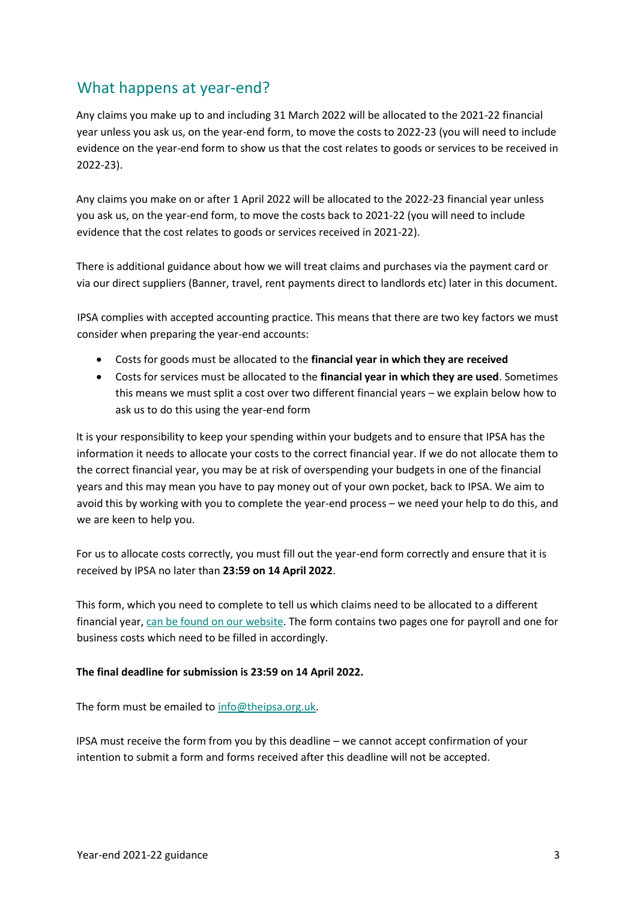#### What happens at year-end?

Any claims you make up to and including 31 March 2022 will be allocated to the 2021-22 financial year unless you ask us, on the year-end form, to move the costs to 2022-23 (you will need to include evidence on the year-end form to show us that the cost relates to goods or services to be received in 2022-23).

Any claims you make on or after 1 April 2022 will be allocated to the 2022-23 financial year unless you ask us, on the year-end form, to move the costs back to 2021-22 (you will need to include evidence that the cost relates to goods or services received in 2021-22).

There is additional guidance about how we will treat claims and purchases via the payment card or via our direct suppliers (Banner, travel, rent payments direct to landlords etc) later in this document.

IPSA complies with accepted accounting practice. This means that there are two key factors we must consider when preparing the year-end accounts:

- Costs for goods must be allocated to the **financial year in which they are received**
- Costs for services must be allocated to the **financial year in which they are used**. Sometimes this means we must split a cost over two different financial years – we explain below how to ask us to do this using the year-end form

It is your responsibility to keep your spending within your budgets and to ensure that IPSA has the information it needs to allocate your costs to the correct financial year. If we do not allocate them to the correct financial year, you may be at risk of overspending your budgets in one of the financial years and this may mean you have to pay money out of your own pocket, back to IPSA. We aim to avoid this by working with you to complete the year-end process – we need your help to do this, and we are keen to help you.

For us to allocate costs correctly, you must fill out the year-end form correctly and ensure that it is received by IPSA no later than **23:59 on 14 April 2022**.

This form, which you need to complete to tell us which claims need to be allocated to a different financial year, [can be found on our website.](https://www.ipsaonline.org.uk/guidance/reports-and-budgeting) The form contains two pages one for payroll and one for business costs which need to be filled in accordingly.

#### **The final deadline for submission is 23:59 on 14 April 2022.**

The form must be emailed t[o info@theipsa.org.uk.](mailto:info@theipsa.org.uk)

IPSA must receive the form from you by this deadline – we cannot accept confirmation of your intention to submit a form and forms received after this deadline will not be accepted.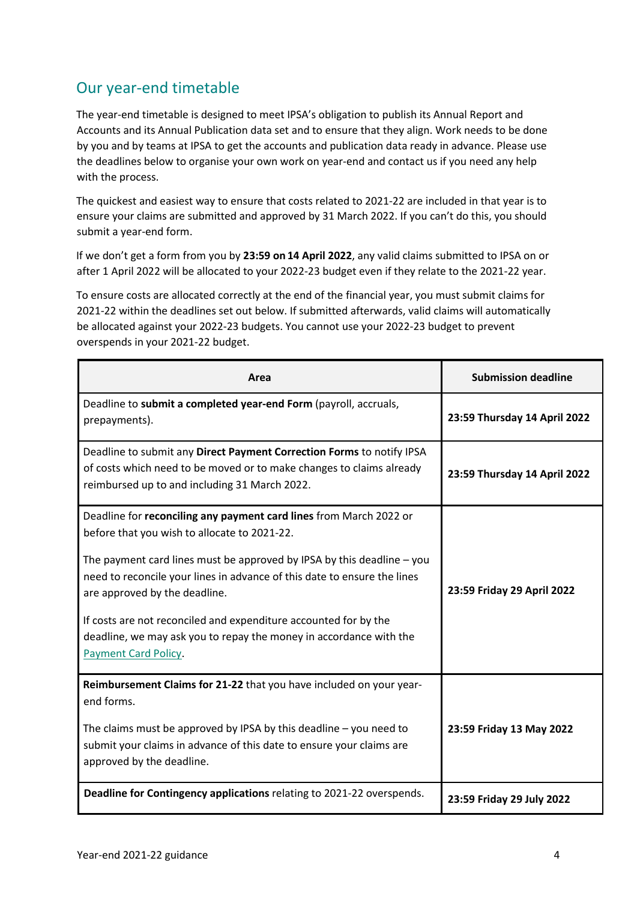## <span id="page-3-0"></span>Our year-end timetable

The year-end timetable is designed to meet IPSA's obligation to publish its Annual Report and Accounts and its Annual Publication data set and to ensure that they align. Work needs to be done by you and by teams at IPSA to get the accounts and publication data ready in advance. Please use the deadlines below to organise your own work on year-end and contact us if you need any help with the process.

The quickest and easiest way to ensure that costs related to 2021-22 are included in that year is to ensure your claims are submitted and approved by 31 March 2022. If you can't do this, you should submit a year-end form.

If we don't get a form from you by **23:59 on 14 April 2022**, any valid claims submitted to IPSA on or after 1 April 2022 will be allocated to your 2022-23 budget even if they relate to the 2021-22 year.

To ensure costs are allocated correctly at the end of the financial year, you must submit claims for 2021-22 within the deadlines set out below. If submitted afterwards, valid claims will automatically be allocated against your 2022-23 budgets. You cannot use your 2022-23 budget to prevent overspends in your 2021-22 budget.

| Area                                                                                                                                                                                                                                                                                                                                                                                                                                                                                 | <b>Submission deadline</b>   |
|--------------------------------------------------------------------------------------------------------------------------------------------------------------------------------------------------------------------------------------------------------------------------------------------------------------------------------------------------------------------------------------------------------------------------------------------------------------------------------------|------------------------------|
| Deadline to submit a completed year-end Form (payroll, accruals,<br>prepayments).                                                                                                                                                                                                                                                                                                                                                                                                    | 23:59 Thursday 14 April 2022 |
| Deadline to submit any Direct Payment Correction Forms to notify IPSA<br>of costs which need to be moved or to make changes to claims already<br>reimbursed up to and including 31 March 2022.                                                                                                                                                                                                                                                                                       | 23:59 Thursday 14 April 2022 |
| Deadline for reconciling any payment card lines from March 2022 or<br>before that you wish to allocate to 2021-22.<br>The payment card lines must be approved by IPSA by this deadline $-$ you<br>need to reconcile your lines in advance of this date to ensure the lines<br>are approved by the deadline.<br>If costs are not reconciled and expenditure accounted for by the<br>deadline, we may ask you to repay the money in accordance with the<br><b>Payment Card Policy.</b> | 23:59 Friday 29 April 2022   |
| Reimbursement Claims for 21-22 that you have included on your year-<br>end forms.<br>The claims must be approved by IPSA by this deadline $-$ you need to<br>submit your claims in advance of this date to ensure your claims are<br>approved by the deadline.                                                                                                                                                                                                                       | 23:59 Friday 13 May 2022     |
| Deadline for Contingency applications relating to 2021-22 overspends.                                                                                                                                                                                                                                                                                                                                                                                                                | 23:59 Friday 29 July 2022    |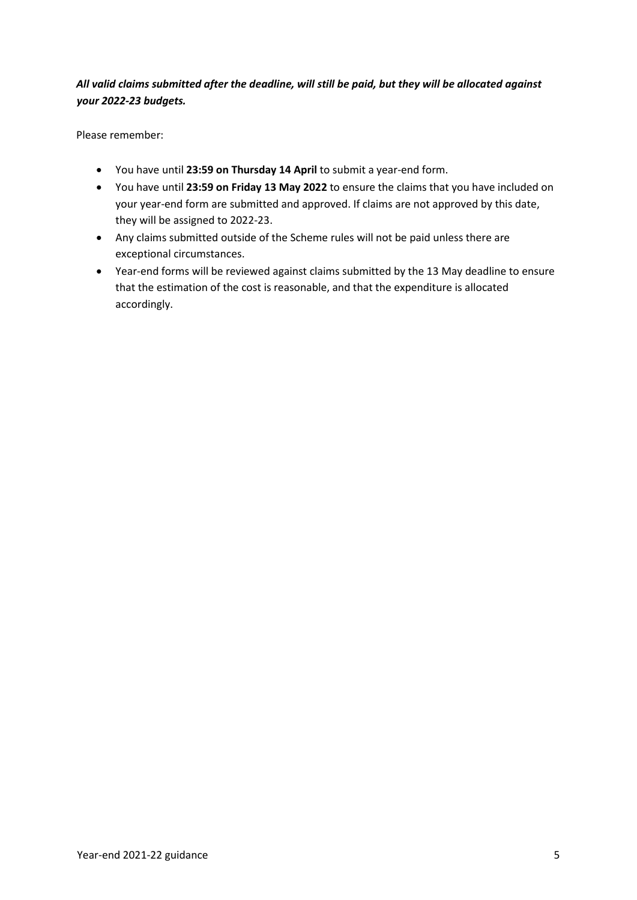#### *All valid claims submitted after the deadline, will still be paid, but they will be allocated against your 2022-23 budgets.*

Please remember:

- You have until **23:59 on Thursday 14 April** to submit a year-end form.
- You have until **23:59 on Friday 13 May 2022** to ensure the claims that you have included on your year-end form are submitted and approved. If claims are not approved by this date, they will be assigned to 2022-23.
- Any claims submitted outside of the Scheme rules will not be paid unless there are exceptional circumstances.
- Year-end forms will be reviewed against claims submitted by the 13 May deadline to ensure that the estimation of the cost is reasonable, and that the expenditure is allocated accordingly.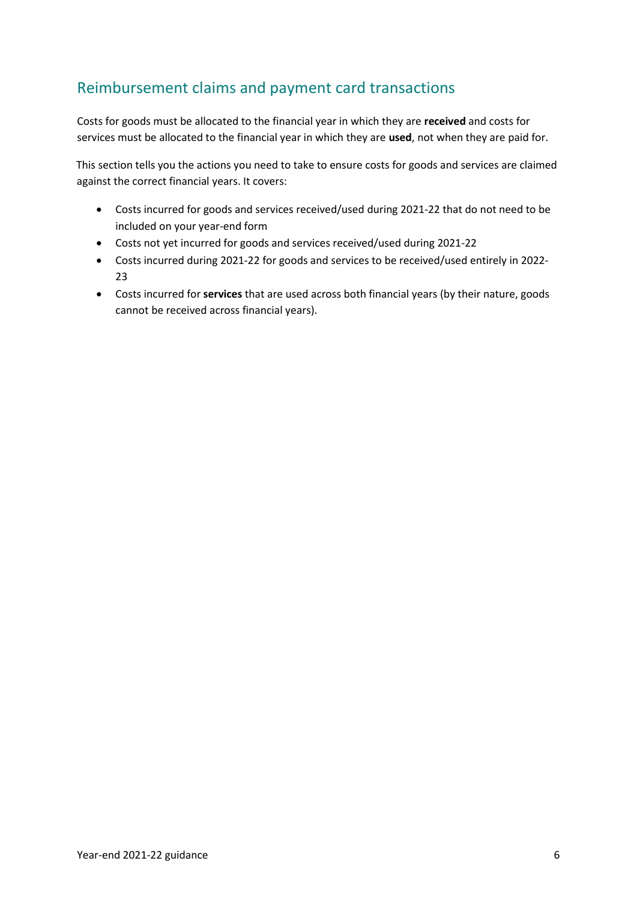## <span id="page-5-0"></span>Reimbursement claims and payment card transactions

Costs for goods must be allocated to the financial year in which they are **received** and costs for services must be allocated to the financial year in which they are **used**, not when they are paid for.

This section tells you the actions you need to take to ensure costs for goods and services are claimed against the correct financial years. It covers:

- Costs incurred for goods and services received/used during 2021-22 that do not need to be included on your year-end form
- Costs not yet incurred for goods and services received/used during 2021-22
- Costs incurred during 2021-22 for goods and services to be received/used entirely in 2022- 23
- Costs incurred for **services** that are used across both financial years (by their nature, goods cannot be received across financial years).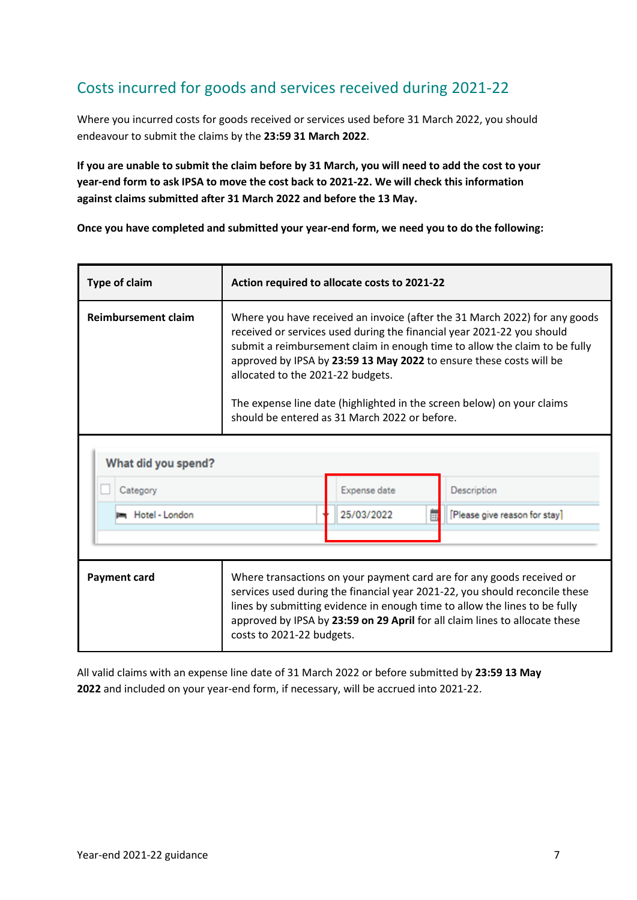## <span id="page-6-0"></span>Costs incurred for goods and services received during 2021-22

Where you incurred costs for goods received or services used before 31 March 2022, you should endeavour to submit the claims by the **23:59 31 March 2022**.

**If you are unable to submit the claim before by 31 March, you will need to add the cost to your year-end form to ask IPSA to move the cost back to 2021-22. We will check this information against claims submitted after 31 March 2022 and before the 13 May.**

**Once you have completed and submitted your year-end form, we need you to do the following:**

| <b>Type of claim</b>       | Action required to allocate costs to 2021-22                                                                                                                                                                                                                                                                                                                                                                                                                              |  |              |  |                               |
|----------------------------|---------------------------------------------------------------------------------------------------------------------------------------------------------------------------------------------------------------------------------------------------------------------------------------------------------------------------------------------------------------------------------------------------------------------------------------------------------------------------|--|--------------|--|-------------------------------|
| <b>Reimbursement claim</b> | Where you have received an invoice (after the 31 March 2022) for any goods<br>received or services used during the financial year 2021-22 you should<br>submit a reimbursement claim in enough time to allow the claim to be fully<br>approved by IPSA by 23:59 13 May 2022 to ensure these costs will be<br>allocated to the 2021-22 budgets.<br>The expense line date (highlighted in the screen below) on your claims<br>should be entered as 31 March 2022 or before. |  |              |  |                               |
| What did you spend?        |                                                                                                                                                                                                                                                                                                                                                                                                                                                                           |  |              |  |                               |
| Category                   |                                                                                                                                                                                                                                                                                                                                                                                                                                                                           |  | Expense date |  | Description                   |
| Hotel - London             |                                                                                                                                                                                                                                                                                                                                                                                                                                                                           |  | 25/03/2022   |  | [Please give reason for stay] |
|                            |                                                                                                                                                                                                                                                                                                                                                                                                                                                                           |  |              |  |                               |
| <b>Payment card</b>        | Where transactions on your payment card are for any goods received or<br>services used during the financial year 2021-22, you should reconcile these<br>lines by submitting evidence in enough time to allow the lines to be fully<br>approved by IPSA by 23:59 on 29 April for all claim lines to allocate these<br>costs to 2021-22 budgets.                                                                                                                            |  |              |  |                               |

All valid claims with an expense line date of 31 March 2022 or before submitted by **23:59 13 May 2022** and included on your year-end form, if necessary, will be accrued into 2021-22.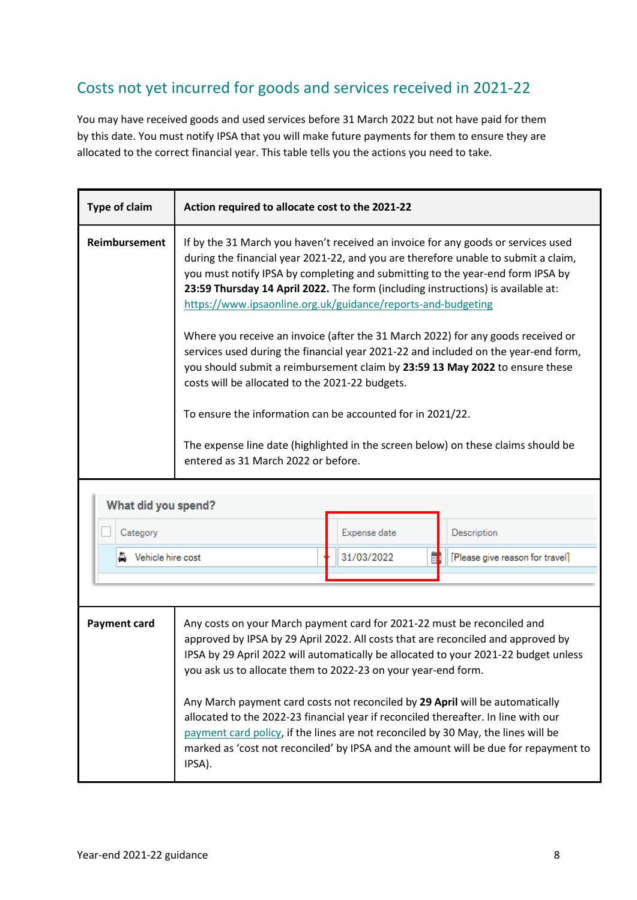## <span id="page-7-0"></span>Costs not yet incurred for goods and services received in 2021-22

You may have received goods and used services before 31 March 2022 but not have paid for them by this date. You must notify IPSA that you will make future payments for them to ensure they are allocated to the correct financial year. This table tells you the actions you need to take.

| <b>Type of claim</b> | Action required to allocate cost to the 2021-22                                                                                                                                                                                                                                                                                                                                                                                                                                                                                                                                                                                                                                                                                                                                                                                                                                                                      |                 |                                 |  |
|----------------------|----------------------------------------------------------------------------------------------------------------------------------------------------------------------------------------------------------------------------------------------------------------------------------------------------------------------------------------------------------------------------------------------------------------------------------------------------------------------------------------------------------------------------------------------------------------------------------------------------------------------------------------------------------------------------------------------------------------------------------------------------------------------------------------------------------------------------------------------------------------------------------------------------------------------|-----------------|---------------------------------|--|
| <b>Reimbursement</b> | If by the 31 March you haven't received an invoice for any goods or services used<br>during the financial year 2021-22, and you are therefore unable to submit a claim,<br>you must notify IPSA by completing and submitting to the year-end form IPSA by<br>23:59 Thursday 14 April 2022. The form (including instructions) is available at:<br>https://www.ipsaonline.org.uk/guidance/reports-and-budgeting<br>Where you receive an invoice (after the 31 March 2022) for any goods received or<br>services used during the financial year 2021-22 and included on the year-end form,<br>you should submit a reimbursement claim by 23:59 13 May 2022 to ensure these<br>costs will be allocated to the 2021-22 budgets.<br>To ensure the information can be accounted for in 2021/22.<br>The expense line date (highlighted in the screen below) on these claims should be<br>entered as 31 March 2022 or before. |                 |                                 |  |
| What did you spend?  |                                                                                                                                                                                                                                                                                                                                                                                                                                                                                                                                                                                                                                                                                                                                                                                                                                                                                                                      |                 |                                 |  |
| Category             |                                                                                                                                                                                                                                                                                                                                                                                                                                                                                                                                                                                                                                                                                                                                                                                                                                                                                                                      | Expense date    | Description                     |  |
| ▲ Vehicle hire cost  |                                                                                                                                                                                                                                                                                                                                                                                                                                                                                                                                                                                                                                                                                                                                                                                                                                                                                                                      | 31/03/2022<br>Ħ | [Please give reason for travel] |  |
|                      |                                                                                                                                                                                                                                                                                                                                                                                                                                                                                                                                                                                                                                                                                                                                                                                                                                                                                                                      |                 |                                 |  |
|                      |                                                                                                                                                                                                                                                                                                                                                                                                                                                                                                                                                                                                                                                                                                                                                                                                                                                                                                                      |                 |                                 |  |
| <b>Payment card</b>  | Any costs on your March payment card for 2021-22 must be reconciled and<br>approved by IPSA by 29 April 2022. All costs that are reconciled and approved by<br>IPSA by 29 April 2022 will automatically be allocated to your 2021-22 budget unless<br>you ask us to allocate them to 2022-23 on your year-end form.<br>Any March payment card costs not reconciled by 29 April will be automatically<br>allocated to the 2022-23 financial year if reconciled thereafter. In line with our<br>payment card policy, if the lines are not reconciled by 30 May, the lines will be<br>marked as 'cost not reconciled' by IPSA and the amount will be due for repayment to<br>IPSA).                                                                                                                                                                                                                                     |                 |                                 |  |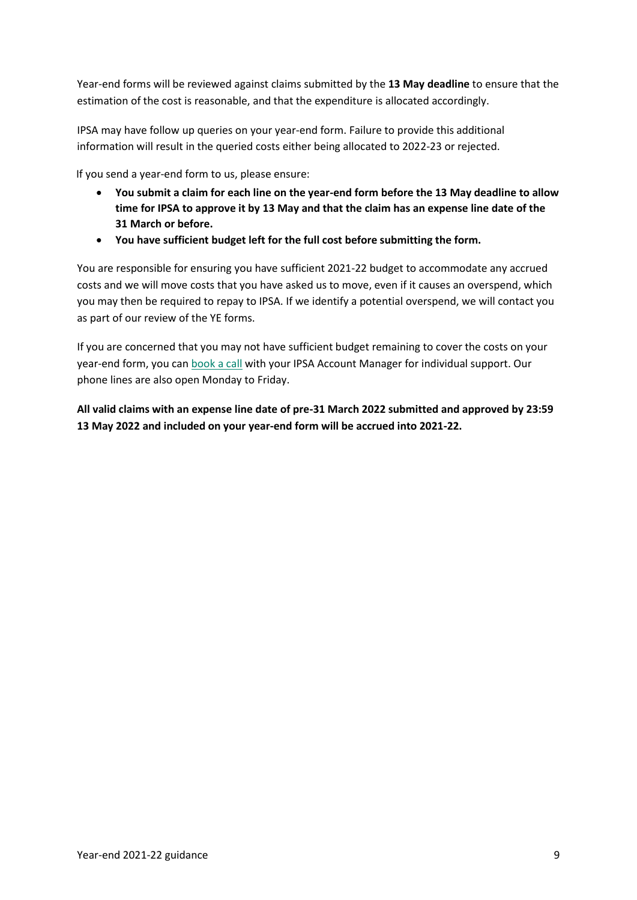Year-end forms will be reviewed against claims submitted by the **13 May deadline** to ensure that the estimation of the cost is reasonable, and that the expenditure is allocated accordingly.

IPSA may have follow up queries on your year-end form. Failure to provide this additional information will result in the queried costs either being allocated to 2022-23 or rejected.

If you send a year-end form to us, please ensure:

- **You submit a claim for each line on the year-end form before the 13 May deadline to allow time for IPSA to approve it by 13 May and that the claim has an expense line date of the 31 March or before.**
- **You have sufficient budget left for the full cost before submitting the form.**

You are responsible for ensuring you have sufficient 2021-22 budget to accommodate any accrued costs and we will move costs that you have asked us to move, even if it causes an overspend, which you may then be required to repay to IPSA. If we identify a potential overspend, we will contact you as part of our review of the YE forms.

If you are concerned that you may not have sufficient budget remaining to cover the costs on your year-end form, you ca[n book a call](https://outlook.office365.com/owa/calendar/IPSABookings@theipsa.org.uk/bookings/) with your IPSA Account Manager for individual support. Our phone lines are also open Monday to Friday.

**All valid claims with an expense line date of pre-31 March 2022 submitted and approved by 23:59 13 May 2022 and included on your year-end form will be accrued into 2021-22.**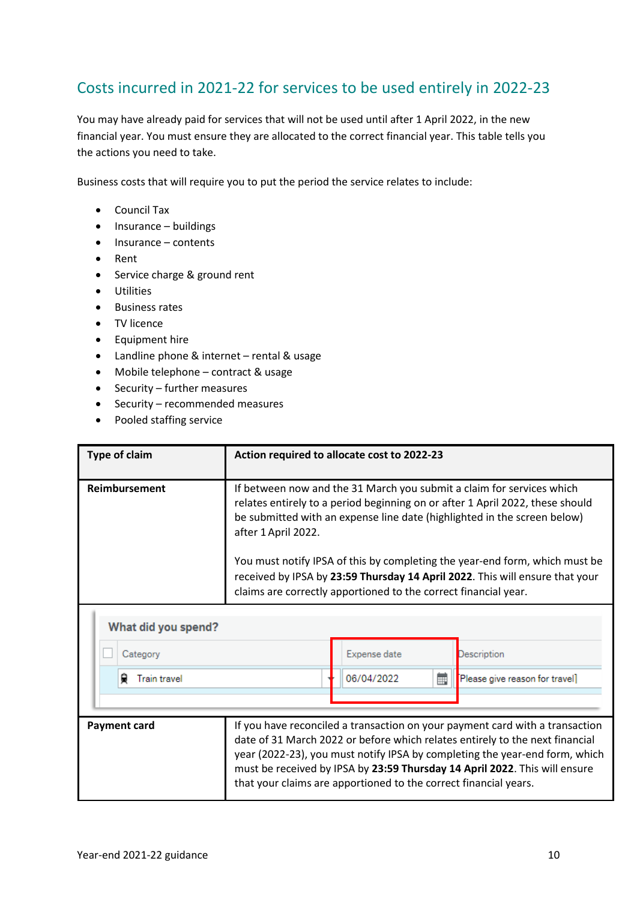## <span id="page-9-0"></span>Costs incurred in 2021-22 for services to be used entirely in 2022-23

You may have already paid for services that will not be used until after 1 April 2022, in the new financial year. You must ensure they are allocated to the correct financial year. This table tells you the actions you need to take.

Business costs that will require you to put the period the service relates to include:

- Council Tax
- Insurance buildings
- Insurance contents
- Rent
- Service charge & ground rent
- Utilities
- Business rates
- TV licence
- Equipment hire
- Landline phone & internet rental & usage
- Mobile telephone contract & usage
- Security further measures
- Security recommended measures
- Pooled staffing service

| <b>Type of claim</b>     | Action required to allocate cost to 2022-23                                                                                                                                                                                                                                                                                                                                                                              |                                                                 |   |                                |
|--------------------------|--------------------------------------------------------------------------------------------------------------------------------------------------------------------------------------------------------------------------------------------------------------------------------------------------------------------------------------------------------------------------------------------------------------------------|-----------------------------------------------------------------|---|--------------------------------|
| Reimbursement            | If between now and the 31 March you submit a claim for services which<br>relates entirely to a period beginning on or after 1 April 2022, these should<br>be submitted with an expense line date (highlighted in the screen below)<br>after 1 April 2022.<br>You must notify IPSA of this by completing the year-end form, which must be<br>received by IPSA by 23:59 Thursday 14 April 2022. This will ensure that your |                                                                 |   |                                |
|                          |                                                                                                                                                                                                                                                                                                                                                                                                                          | claims are correctly apportioned to the correct financial year. |   |                                |
| What did you spend?      |                                                                                                                                                                                                                                                                                                                                                                                                                          |                                                                 |   |                                |
| Category                 |                                                                                                                                                                                                                                                                                                                                                                                                                          | Expense date                                                    |   | Description                    |
| <b>Train travel</b><br>⊌ |                                                                                                                                                                                                                                                                                                                                                                                                                          | 06/04/2022                                                      | 臝 | Please give reason for travel] |
|                          |                                                                                                                                                                                                                                                                                                                                                                                                                          |                                                                 |   |                                |
| <b>Payment card</b>      | If you have reconciled a transaction on your payment card with a transaction<br>date of 31 March 2022 or before which relates entirely to the next financial<br>year (2022-23), you must notify IPSA by completing the year-end form, which<br>must be received by IPSA by 23:59 Thursday 14 April 2022. This will ensure<br>that your claims are apportioned to the correct financial years.                            |                                                                 |   |                                |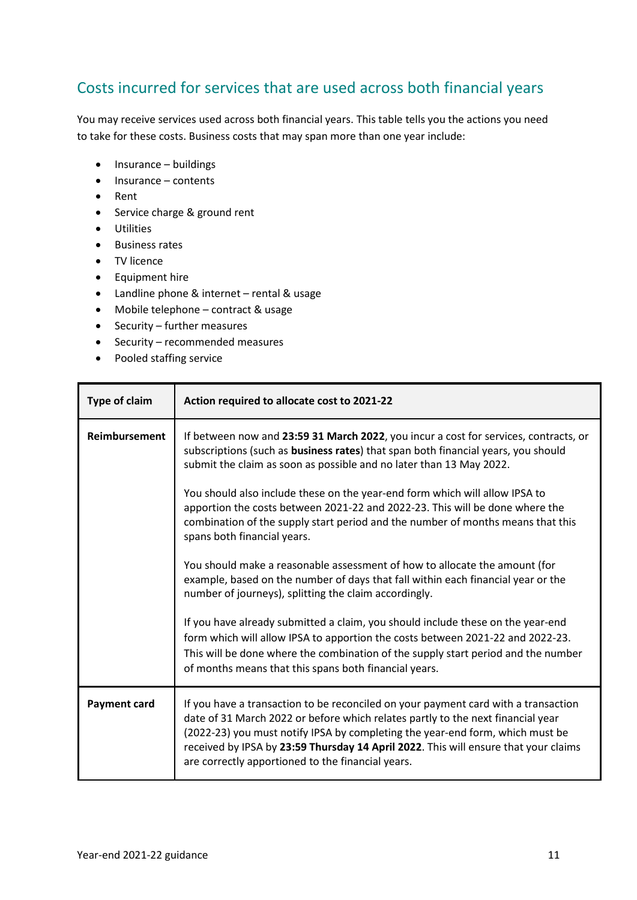## <span id="page-10-0"></span>Costs incurred for services that are used across both financial years

You may receive services used across both financial years. This table tells you the actions you need to take for these costs. Business costs that may span more than one year include:

- Insurance buildings
- Insurance contents
- Rent
- Service charge & ground rent
- Utilities
- Business rates
- TV licence
- Equipment hire
- Landline phone & internet rental & usage
- Mobile telephone contract & usage
- Security further measures
- Security recommended measures
- Pooled staffing service

| <b>Type of claim</b> | Action required to allocate cost to 2021-22                                                                                                                                                                                                                                                                                                                                                        |  |  |
|----------------------|----------------------------------------------------------------------------------------------------------------------------------------------------------------------------------------------------------------------------------------------------------------------------------------------------------------------------------------------------------------------------------------------------|--|--|
| <b>Reimbursement</b> | If between now and 23:59 31 March 2022, you incur a cost for services, contracts, or<br>subscriptions (such as business rates) that span both financial years, you should<br>submit the claim as soon as possible and no later than 13 May 2022.                                                                                                                                                   |  |  |
|                      | You should also include these on the year-end form which will allow IPSA to<br>apportion the costs between 2021-22 and 2022-23. This will be done where the<br>combination of the supply start period and the number of months means that this<br>spans both financial years.                                                                                                                      |  |  |
|                      | You should make a reasonable assessment of how to allocate the amount (for<br>example, based on the number of days that fall within each financial year or the<br>number of journeys), splitting the claim accordingly.                                                                                                                                                                            |  |  |
|                      | If you have already submitted a claim, you should include these on the year-end<br>form which will allow IPSA to apportion the costs between 2021-22 and 2022-23.<br>This will be done where the combination of the supply start period and the number<br>of months means that this spans both financial years.                                                                                    |  |  |
| <b>Payment card</b>  | If you have a transaction to be reconciled on your payment card with a transaction<br>date of 31 March 2022 or before which relates partly to the next financial year<br>(2022-23) you must notify IPSA by completing the year-end form, which must be<br>received by IPSA by 23:59 Thursday 14 April 2022. This will ensure that your claims<br>are correctly apportioned to the financial years. |  |  |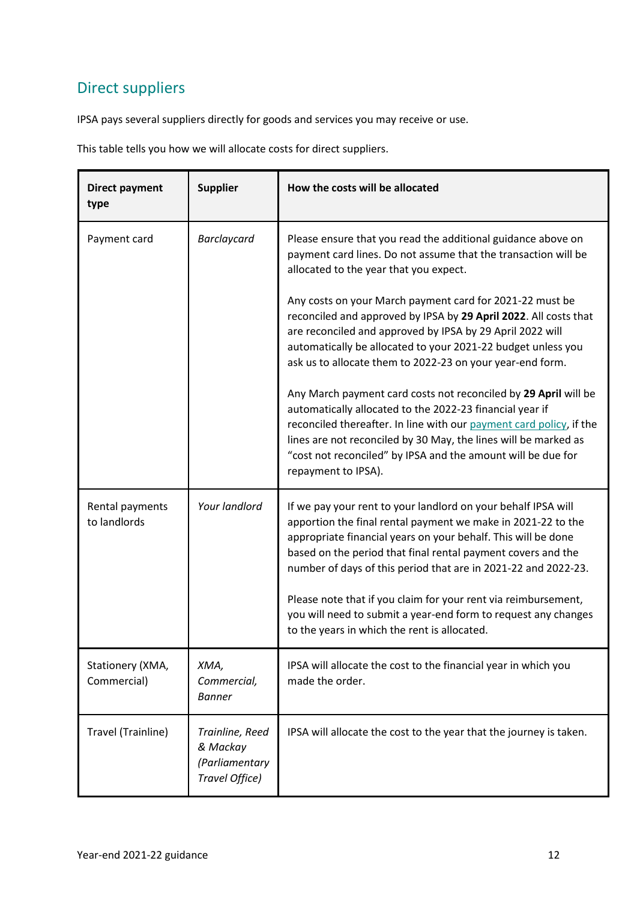## <span id="page-11-0"></span>Direct suppliers

IPSA pays several suppliers directly for goods and services you may receive or use.

This table tells you how we will allocate costs for direct suppliers.

| <b>Direct payment</b><br>type   | <b>Supplier</b>                                                 | How the costs will be allocated                                                                                                                                                                                                                                                                                                                                                                                                                                                                                                                                                                                                                                                                                                                                                                                                                                    |
|---------------------------------|-----------------------------------------------------------------|--------------------------------------------------------------------------------------------------------------------------------------------------------------------------------------------------------------------------------------------------------------------------------------------------------------------------------------------------------------------------------------------------------------------------------------------------------------------------------------------------------------------------------------------------------------------------------------------------------------------------------------------------------------------------------------------------------------------------------------------------------------------------------------------------------------------------------------------------------------------|
| Payment card                    | <b>Barclaycard</b>                                              | Please ensure that you read the additional guidance above on<br>payment card lines. Do not assume that the transaction will be<br>allocated to the year that you expect.<br>Any costs on your March payment card for 2021-22 must be<br>reconciled and approved by IPSA by 29 April 2022. All costs that<br>are reconciled and approved by IPSA by 29 April 2022 will<br>automatically be allocated to your 2021-22 budget unless you<br>ask us to allocate them to 2022-23 on your year-end form.<br>Any March payment card costs not reconciled by 29 April will be<br>automatically allocated to the 2022-23 financial year if<br>reconciled thereafter. In line with our payment card policy, if the<br>lines are not reconciled by 30 May, the lines will be marked as<br>"cost not reconciled" by IPSA and the amount will be due for<br>repayment to IPSA). |
| Rental payments<br>to landlords | Your landlord                                                   | If we pay your rent to your landlord on your behalf IPSA will<br>apportion the final rental payment we make in 2021-22 to the<br>appropriate financial years on your behalf. This will be done<br>based on the period that final rental payment covers and the<br>number of days of this period that are in 2021-22 and 2022-23.<br>Please note that if you claim for your rent via reimbursement,<br>you will need to submit a year-end form to request any changes<br>to the years in which the rent is allocated.                                                                                                                                                                                                                                                                                                                                               |
| Stationery (XMA,<br>Commercial) | XMA,<br>Commercial,<br><b>Banner</b>                            | IPSA will allocate the cost to the financial year in which you<br>made the order.                                                                                                                                                                                                                                                                                                                                                                                                                                                                                                                                                                                                                                                                                                                                                                                  |
| Travel (Trainline)              | Trainline, Reed<br>& Mackay<br>(Parliamentary<br>Travel Office) | IPSA will allocate the cost to the year that the journey is taken.                                                                                                                                                                                                                                                                                                                                                                                                                                                                                                                                                                                                                                                                                                                                                                                                 |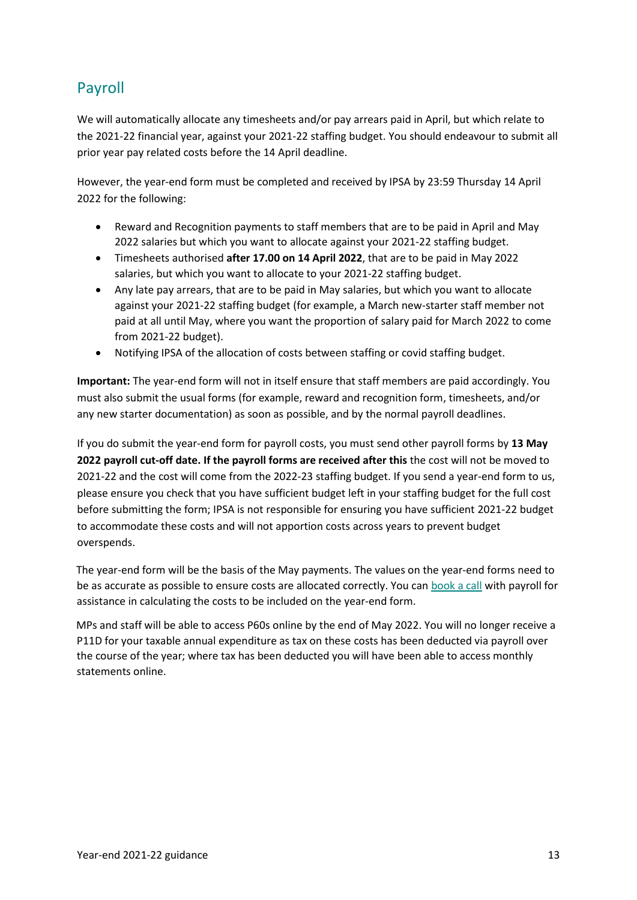## <span id="page-12-0"></span>Payroll

We will automatically allocate any timesheets and/or pay arrears paid in April, but which relate to the 2021-22 financial year, against your 2021-22 staffing budget. You should endeavour to submit all prior year pay related costs before the 14 April deadline.

However, the year-end form must be completed and received by IPSA by 23:59 Thursday 14 April 2022 for the following:

- Reward and Recognition payments to staff members that are to be paid in April and May 2022 salaries but which you want to allocate against your 2021-22 staffing budget.
- Timesheets authorised **after 17.00 on 14 April 2022**, that are to be paid in May 2022 salaries, but which you want to allocate to your 2021-22 staffing budget.
- Any late pay arrears, that are to be paid in May salaries, but which you want to allocate against your 2021-22 staffing budget (for example, a March new-starter staff member not paid at all until May, where you want the proportion of salary paid for March 2022 to come from 2021-22 budget).
- Notifying IPSA of the allocation of costs between staffing or covid staffing budget.

**Important:** The year-end form will not in itself ensure that staff members are paid accordingly. You must also submit the usual forms (for example, reward and recognition form, timesheets, and/or any new starter documentation) as soon as possible, and by the normal payroll deadlines.

If you do submit the year-end form for payroll costs, you must send other payroll forms by **13 May 2022 payroll cut-off date. If the payroll forms are received after this** the cost will not be moved to 2021-22 and the cost will come from the 2022-23 staffing budget. If you send a year-end form to us, please ensure you check that you have sufficient budget left in your staffing budget for the full cost before submitting the form; IPSA is not responsible for ensuring you have sufficient 2021-22 budget to accommodate these costs and will not apportion costs across years to prevent budget overspends.

The year-end form will be the basis of the May payments. The values on the year-end forms need to be as accurate as possible to ensure costs are allocated correctly. You can [book a call](https://outlook.office365.com/owa/calendar/IPSABookings@theipsa.org.uk/bookings/) with payroll for assistance in calculating the costs to be included on the year-end form.

MPs and staff will be able to access P60s online by the end of May 2022. You will no longer receive a P11D for your taxable annual expenditure as tax on these costs has been deducted via payroll over the course of the year; where tax has been deducted you will have been able to access monthly statements online.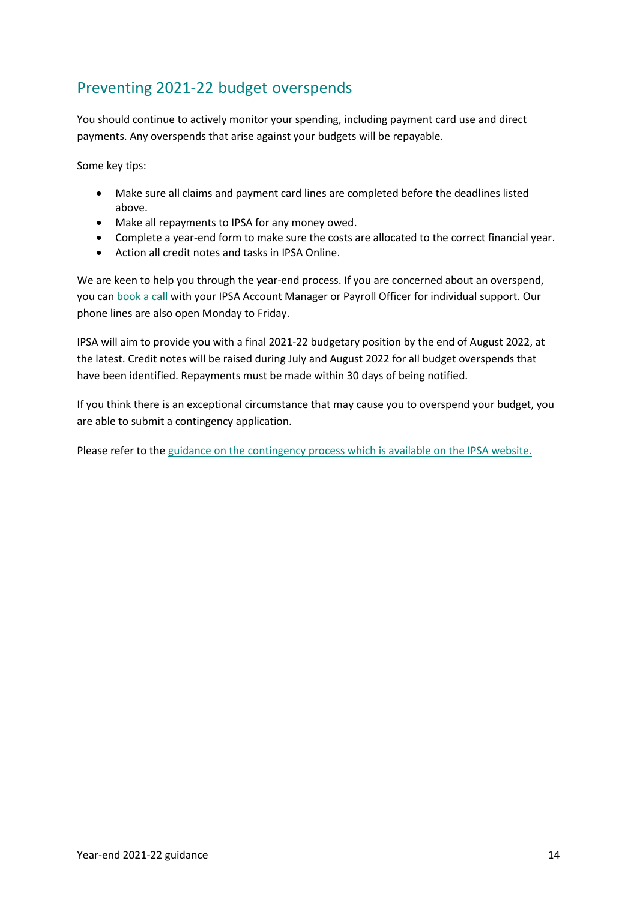## <span id="page-13-0"></span>Preventing 2021-22 budget overspends

You should continue to actively monitor your spending, including payment card use and direct payments. Any overspends that arise against your budgets will be repayable.

Some key tips:

- Make sure all claims and payment card lines are completed before the deadlines listed above.
- Make all repayments to IPSA for any money owed.
- Complete a year-end form to make sure the costs are allocated to the correct financial year.
- Action all credit notes and tasks in IPSA Online.

We are keen to help you through the year-end process. If you are concerned about an overspend, you can [book a call](https://outlook.office365.com/owa/calendar/IPSABookings@theipsa.org.uk/bookings/) with your IPSA Account Manager or Payroll Officer for individual support. Our phone lines are also open Monday to Friday.

IPSA will aim to provide you with a final 2021-22 budgetary position by the end of August 2022, at the latest. Credit notes will be raised during July and August 2022 for all budget overspends that have been identified. Repayments must be made within 30 days of being notified.

If you think there is an exceptional circumstance that may cause you to overspend your budget, you are able to submit a contingency application.

Please refer to the [guidance on the contingency process which is available on the IPSA website.](https://www.ipsaonline.org.uk/guidance/requesting-extra-budget)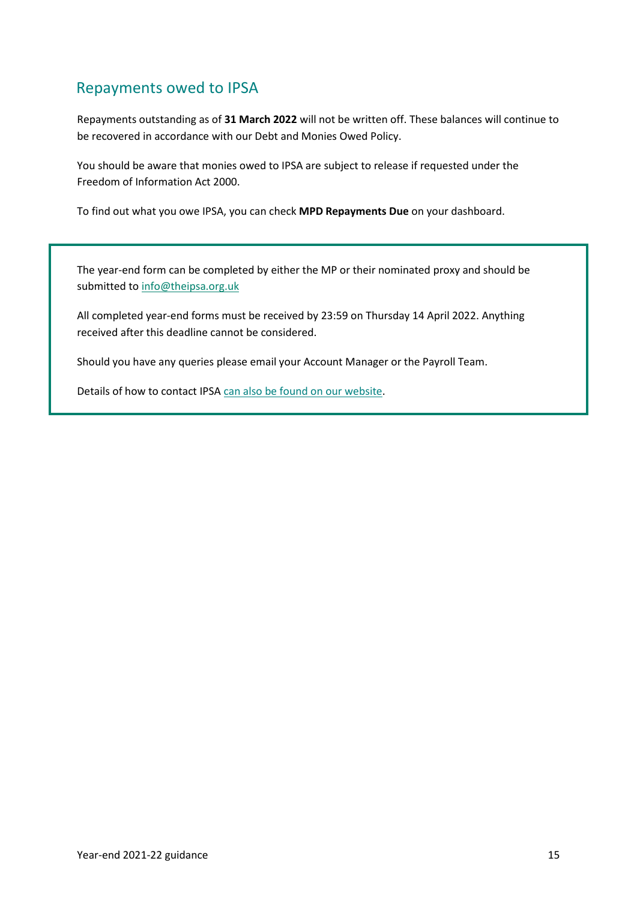### <span id="page-14-0"></span>Repayments owed to IPSA

Repayments outstanding as of **31 March 2022** will not be written off. These balances will continue to be recovered in accordance with our Debt and Monies Owed Policy.

You should be aware that monies owed to IPSA are subject to release if requested under the Freedom of Information Act 2000.

To find out what you owe IPSA, you can check **MPD Repayments Due** on your dashboard.

The year-end form can be completed by either the MP or their nominated proxy and should be submitted to [info@theipsa.org.uk](mailto:info@theipsa.org.uk)

All completed year-end forms must be received by 23:59 on Thursday 14 April 2022. Anything received after this deadline cannot be considered.

Should you have any queries please email your Account Manager or the Payroll Team.

Details of how to contact IPSA [can also be found on our website.](https://www.ipsaonline.org.uk/contact-us)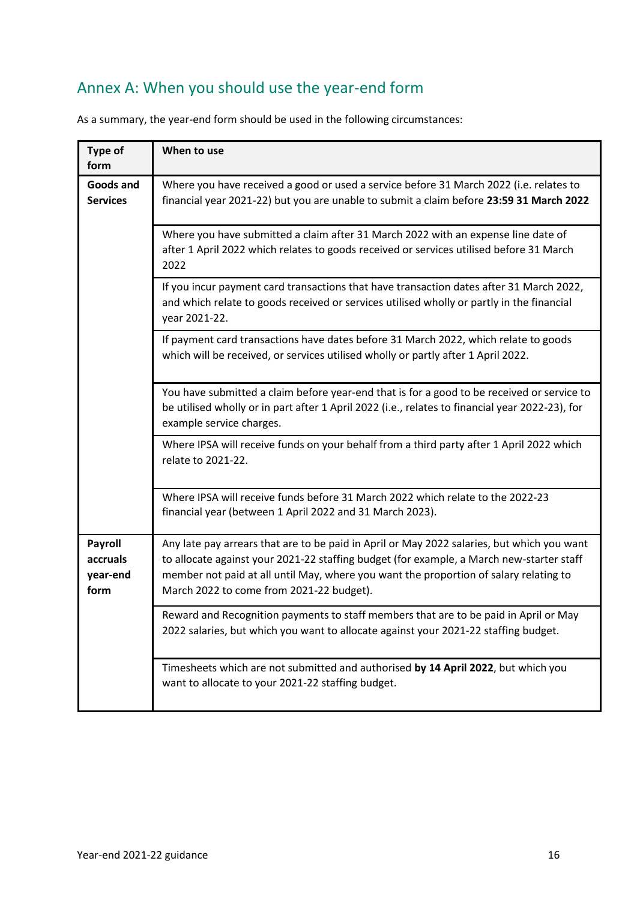## <span id="page-15-0"></span>Annex A: When you should use the year-end form

| <b>Type of</b><br>form                  | When to use                                                                                                                                                                                                                                                                                                                 |
|-----------------------------------------|-----------------------------------------------------------------------------------------------------------------------------------------------------------------------------------------------------------------------------------------------------------------------------------------------------------------------------|
| Goods and<br><b>Services</b>            | Where you have received a good or used a service before 31 March 2022 (i.e. relates to<br>financial year 2021-22) but you are unable to submit a claim before 23:59 31 March 2022                                                                                                                                           |
|                                         | Where you have submitted a claim after 31 March 2022 with an expense line date of<br>after 1 April 2022 which relates to goods received or services utilised before 31 March<br>2022                                                                                                                                        |
|                                         | If you incur payment card transactions that have transaction dates after 31 March 2022,<br>and which relate to goods received or services utilised wholly or partly in the financial<br>year 2021-22.                                                                                                                       |
|                                         | If payment card transactions have dates before 31 March 2022, which relate to goods<br>which will be received, or services utilised wholly or partly after 1 April 2022.                                                                                                                                                    |
|                                         | You have submitted a claim before year-end that is for a good to be received or service to<br>be utilised wholly or in part after 1 April 2022 (i.e., relates to financial year 2022-23), for<br>example service charges.                                                                                                   |
|                                         | Where IPSA will receive funds on your behalf from a third party after 1 April 2022 which<br>relate to 2021-22.                                                                                                                                                                                                              |
|                                         | Where IPSA will receive funds before 31 March 2022 which relate to the 2022-23<br>financial year (between 1 April 2022 and 31 March 2023).                                                                                                                                                                                  |
| Payroll<br>accruals<br>year-end<br>form | Any late pay arrears that are to be paid in April or May 2022 salaries, but which you want<br>to allocate against your 2021-22 staffing budget (for example, a March new-starter staff<br>member not paid at all until May, where you want the proportion of salary relating to<br>March 2022 to come from 2021-22 budget). |
|                                         | Reward and Recognition payments to staff members that are to be paid in April or May<br>2022 salaries, but which you want to allocate against your 2021-22 staffing budget.                                                                                                                                                 |
|                                         | Timesheets which are not submitted and authorised by 14 April 2022, but which you<br>want to allocate to your 2021-22 staffing budget.                                                                                                                                                                                      |

As a summary, the year-end form should be used in the following circumstances: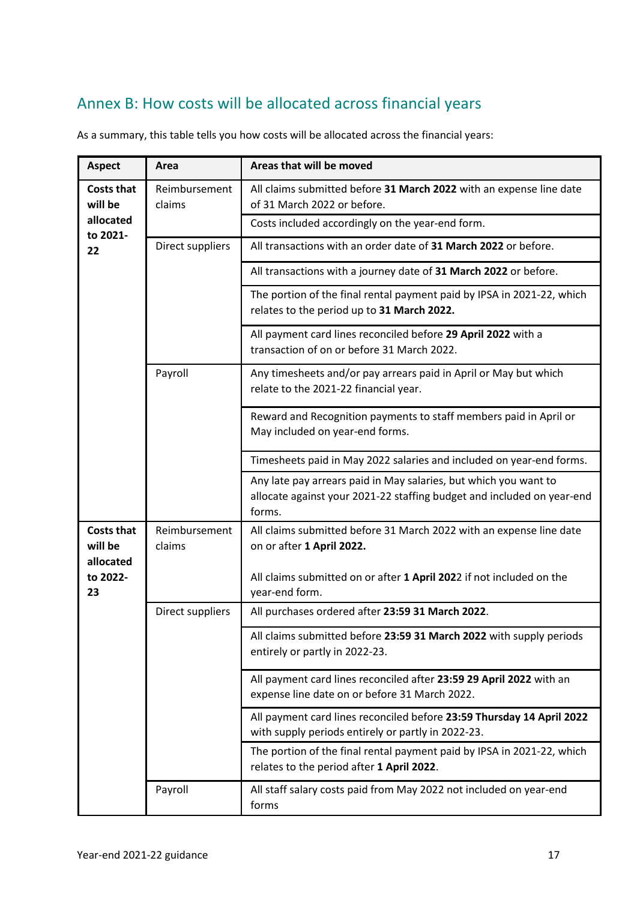## <span id="page-16-0"></span>Annex B: How costs will be allocated across financial years

| <b>Aspect</b>                             | Area                    | Areas that will be moved                                                                                                                             |
|-------------------------------------------|-------------------------|------------------------------------------------------------------------------------------------------------------------------------------------------|
| <b>Costs that</b><br>will be              | Reimbursement<br>claims | All claims submitted before 31 March 2022 with an expense line date<br>of 31 March 2022 or before.                                                   |
| allocated<br>to 2021-                     |                         | Costs included accordingly on the year-end form.                                                                                                     |
| Direct suppliers<br>22                    |                         | All transactions with an order date of 31 March 2022 or before.                                                                                      |
|                                           |                         | All transactions with a journey date of 31 March 2022 or before.                                                                                     |
|                                           |                         | The portion of the final rental payment paid by IPSA in 2021-22, which<br>relates to the period up to 31 March 2022.                                 |
|                                           |                         | All payment card lines reconciled before 29 April 2022 with a<br>transaction of on or before 31 March 2022.                                          |
|                                           | Payroll                 | Any timesheets and/or pay arrears paid in April or May but which<br>relate to the 2021-22 financial year.                                            |
|                                           |                         | Reward and Recognition payments to staff members paid in April or<br>May included on year-end forms.                                                 |
|                                           |                         | Timesheets paid in May 2022 salaries and included on year-end forms.                                                                                 |
|                                           |                         | Any late pay arrears paid in May salaries, but which you want to<br>allocate against your 2021-22 staffing budget and included on year-end<br>forms. |
| <b>Costs that</b><br>will be<br>allocated | Reimbursement<br>claims | All claims submitted before 31 March 2022 with an expense line date<br>on or after 1 April 2022.                                                     |
| to 2022-<br>23                            |                         | All claims submitted on or after 1 April 2022 if not included on the<br>year-end form.                                                               |
|                                           | Direct suppliers        | All purchases ordered after 23:59 31 March 2022.                                                                                                     |
|                                           |                         | All claims submitted before 23:59 31 March 2022 with supply periods<br>entirely or partly in 2022-23.                                                |
|                                           |                         | All payment card lines reconciled after 23:59 29 April 2022 with an<br>expense line date on or before 31 March 2022.                                 |
|                                           |                         | All payment card lines reconciled before 23:59 Thursday 14 April 2022<br>with supply periods entirely or partly in 2022-23.                          |
|                                           |                         | The portion of the final rental payment paid by IPSA in 2021-22, which<br>relates to the period after 1 April 2022.                                  |
|                                           | Payroll                 | All staff salary costs paid from May 2022 not included on year-end<br>forms                                                                          |

As a summary, this table tells you how costs will be allocated across the financial years: